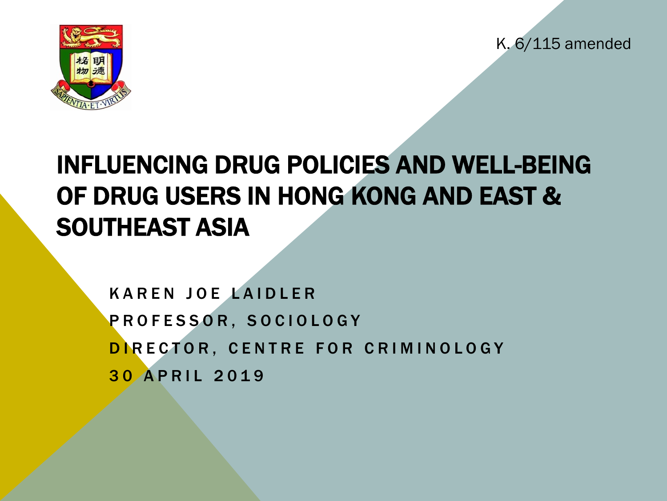K. 6/115 amended



# INFLUENCING DRUG POLICIES AND WELL-BEING OF DRUG USERS IN HONG KONG AND EAST & SOUTHEAST ASIA

KAREN JOE LAIDLER PROFESSOR, SOCIOLOGY DIRECTOR, CENTRE FOR CRIMINOLOGY 30 APRIL 2019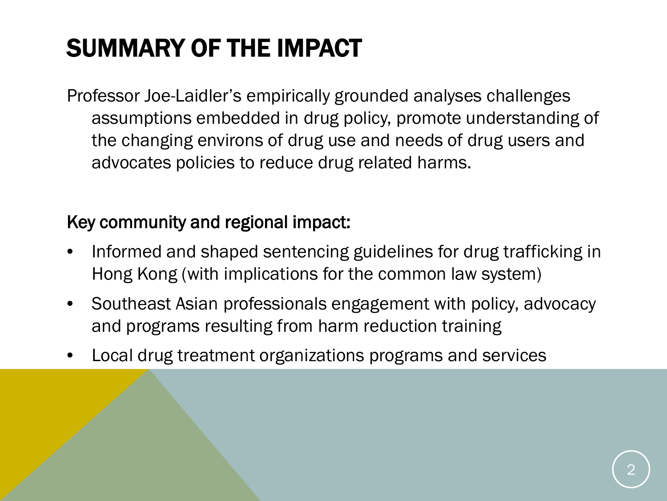# SUMMARY OF THE IMPACT

Professor Joe-Laidler's empirically grounded analyses challenges assumptions embedded in drug policy, promote understanding of the changing environs of drug use and needs of drug users and advocates policies to reduce drug related harms.

#### Key community and regional impact:

- Informed and shaped sentencing guidelines for drug trafficking in Hong Kong (with implications for the common law system)
- Southeast Asian professionals engagement with policy, advocacy and programs resulting from harm reduction training
- Local drug treatment organizations programs and services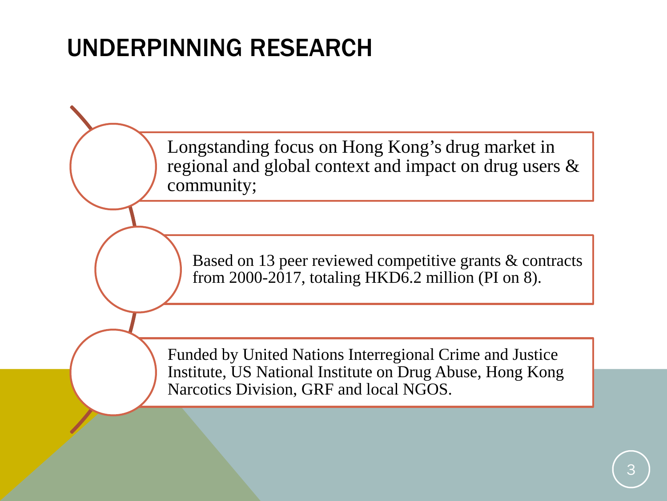Longstanding focus on Hong Kong's drug market in regional and global context and impact on drug users & community;

Based on 13 peer reviewed competitive grants & contracts from 2000-2017, totaling HKD6.2 million (PI on 8).

Funded by United Nations Interregional Crime and Justice Institute, US National Institute on Drug Abuse, Hong Kong Narcotics Division, GRF and local NGOS.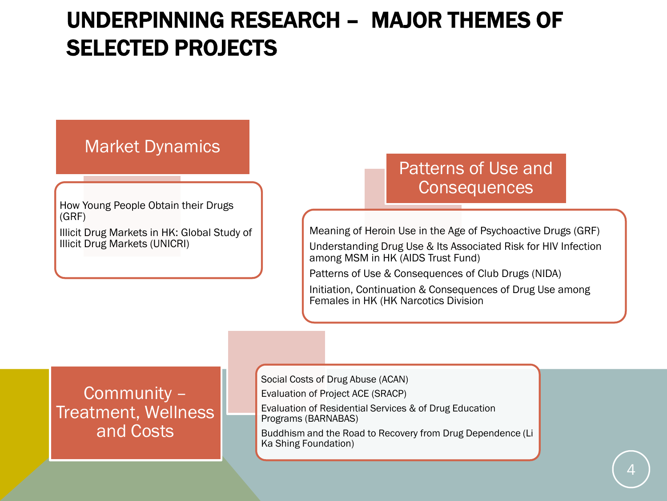#### UNDERPINNING RESEARCH – MAJOR THEMES OF SELECTED PROJECTS

#### Market Dynamics

How Young People Obtain their Drugs (GRF) Illicit Drug Markets in HK: Global Study of Illicit Drug Markets (UNICRI)

#### Patterns of Use and **Consequences**

Meaning of Heroin Use in the Age of Psychoactive Drugs (GRF) Understanding Drug Use & Its Associated Risk for HIV Infection among MSM in HK (AIDS Trust Fund)

Patterns of Use & Consequences of Club Drugs (NIDA)

Initiation, Continuation & Consequences of Drug Use among Females in HK (HK Narcotics Division

Community – Treatment, Wellness and Costs

Social Costs of Drug Abuse (ACAN)

Evaluation of Project ACE (SRACP)

Evaluation of Residential Services & of Drug Education Programs (BARNABAS)

Buddhism and the Road to Recovery from Drug Dependence (Li Ka Shing Foundation)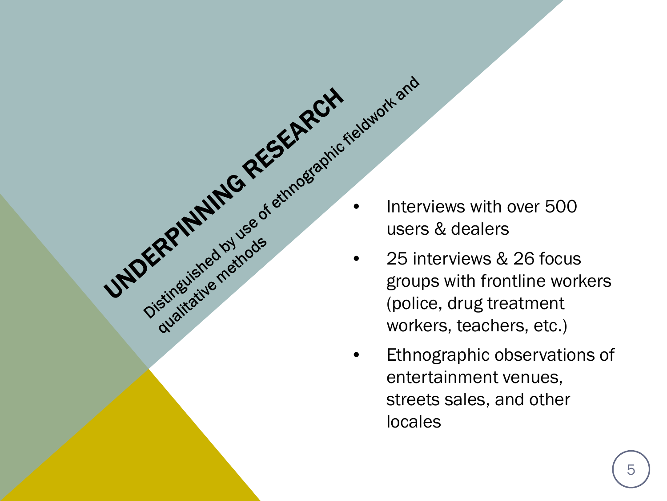users & dealers

Chatricking individes

- **INDERPINING RESEARCH COMPAREM CONTRACTED SURVEY OF SURVEY AND THE PROPERTY OF SURVEY AND THE PROPERTY OF SURVEY AND THE PROPERTY OF SURVEY AND THE PROPERTY CONTRACTED SURVEY AND THE PROPERTY CONTRACTED WORKERS, etc.)** • 25 interviews & 26 focus groups with frontline workers (police, drug treatment workers, teachers, etc.)
	- Ethnographic observations of entertainment venues, streets sales, and other locales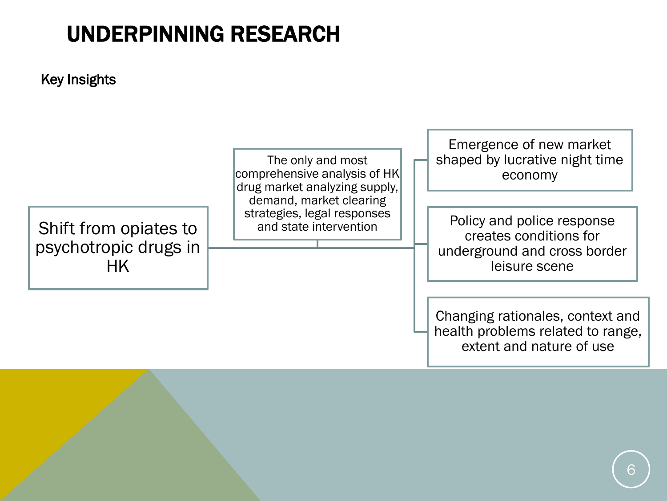#### Key Insights

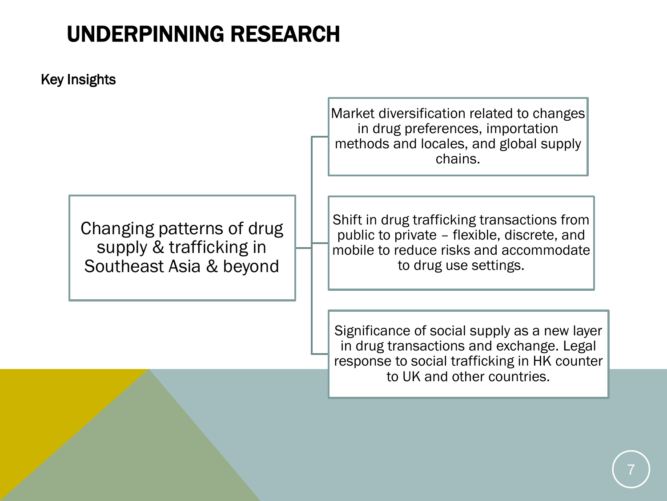Key Insights

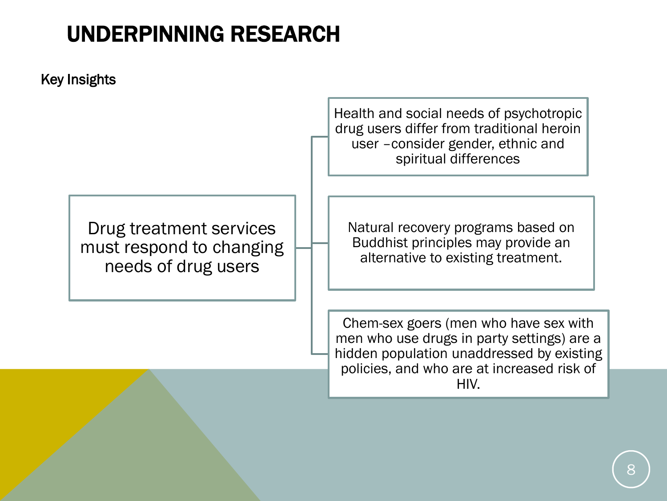

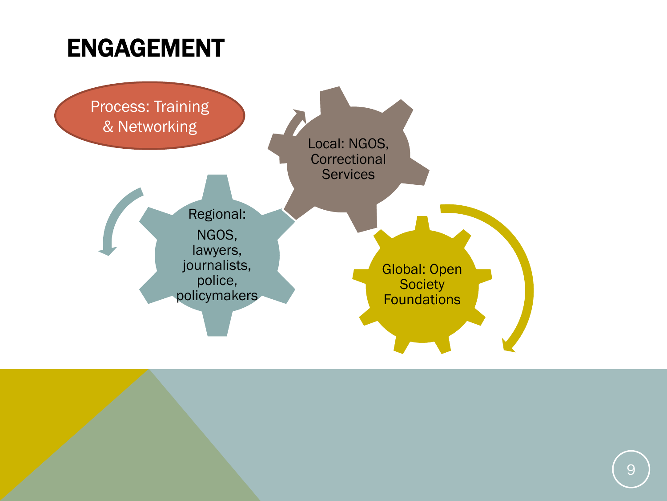### ENGAGEMENT

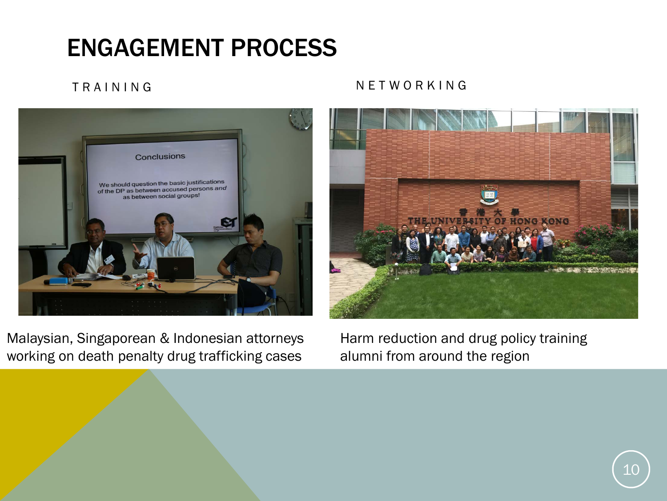# ENGAGEMENT PROCESS



Malaysian, Singaporean & Indonesian attorneys working on death penalty drug trafficking cases

Harm reduction and drug policy training alumni from around the region

#### TRAINING NETWORKING

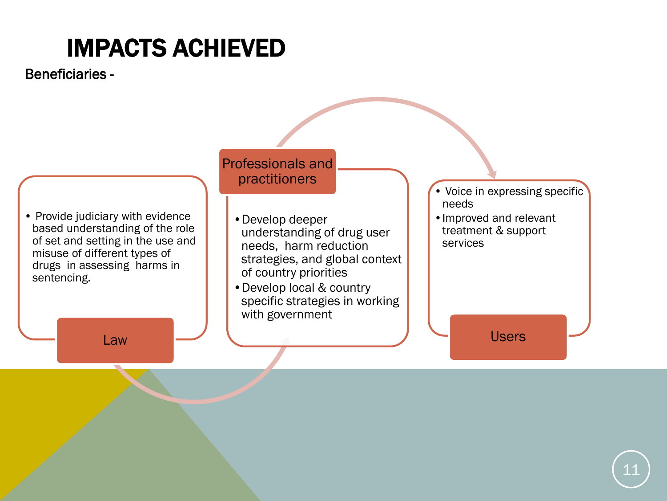Beneficiaries -

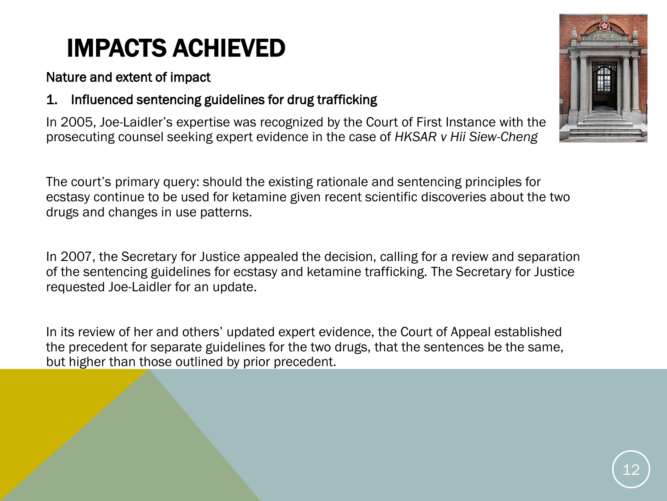Nature and extent of impact

1. Influenced sentencing guidelines for drug trafficking

In 2005, Joe-Laidler's expertise was recognized by the Court of First Instance with the prosecuting counsel seeking expert evidence in the case of *HKSAR v Hii Siew-Cheng* 

The court's primary query: should the existing rationale and sentencing principles for ecstasy continue to be used for ketamine given recent scientific discoveries about the two drugs and changes in use patterns.

In 2007, the Secretary for Justice appealed the decision, calling for a review and separation of the sentencing guidelines for ecstasy and ketamine trafficking. The Secretary for Justice requested Joe-Laidler for an update.

In its review of her and others' updated expert evidence, the Court of Appeal established the precedent for separate guidelines for the two drugs, that the sentences be the same, but higher than those outlined by prior precedent.

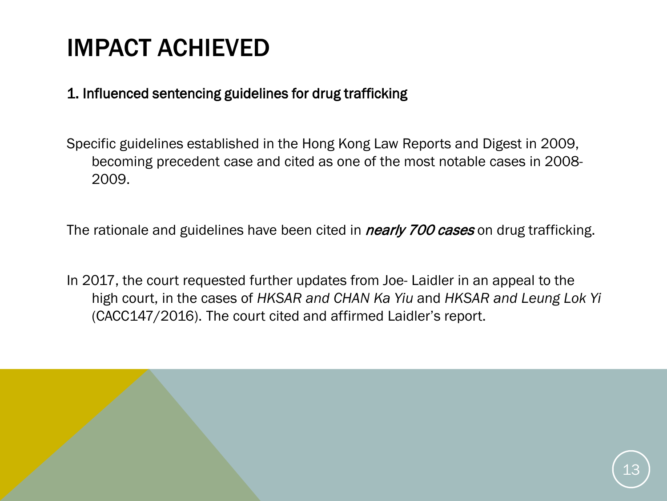#### 1. Influenced sentencing guidelines for drug trafficking

Specific guidelines established in the Hong Kong Law Reports and Digest in 2009, becoming precedent case and cited as one of the most notable cases in 2008- 2009.

The rationale and guidelines have been cited in *nearly 700 cases* on drug trafficking.

In 2017, the court requested further updates from Joe- Laidler in an appeal to the high court, in the cases of *HKSAR and CHAN Ka Yiu* and *HKSAR and Leung Lok Yi*  (CACC147/2016). The court cited and affirmed Laidler's report.

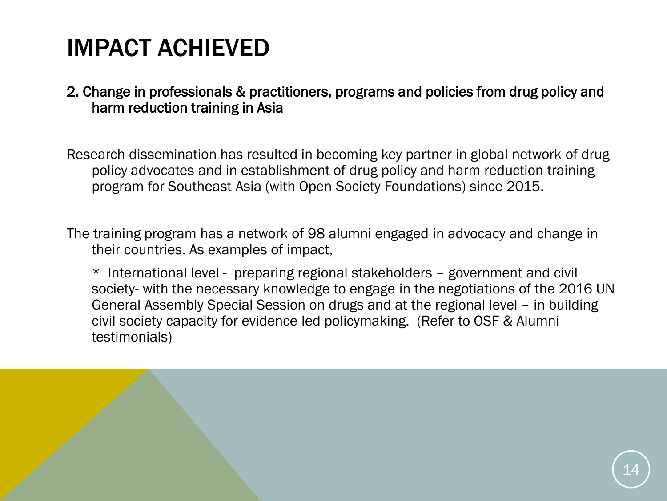#### 2. Change in professionals & practitioners, programs and policies from drug policy and harm reduction training in Asia

Research dissemination has resulted in becoming key partner in global network of drug policy advocates and in establishment of drug policy and harm reduction training program for Southeast Asia (with Open Society Foundations) since 2015.

The training program has a network of 98 alumni engaged in advocacy and change in their countries. As examples of impact,

\* International level - preparing regional stakeholders – government and civil society- with the necessary knowledge to engage in the negotiations of the 2016 UN General Assembly Special Session on drugs and at the regional level – in building civil society capacity for evidence led policymaking. (Refer to OSF & Alumni testimonials)

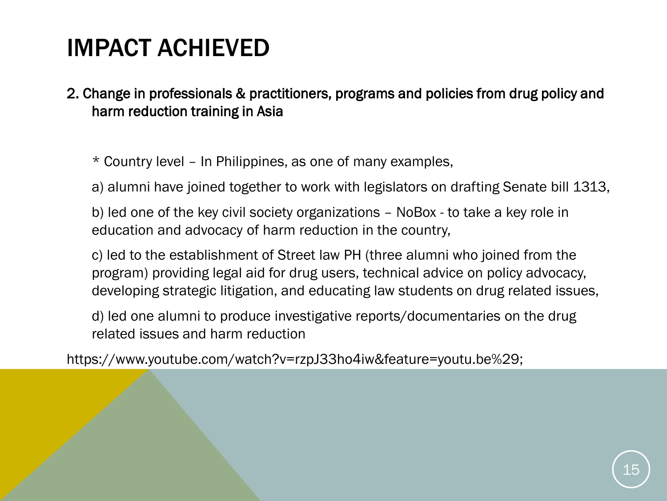2. Change in professionals & practitioners, programs and policies from drug policy and harm reduction training in Asia

\* Country level – In Philippines, as one of many examples,

a) alumni have joined together to work with legislators on drafting Senate bill 1313,

b) led one of the key civil society organizations – NoBox - to take a key role in education and advocacy of harm reduction in the country,

c) led to the establishment of Street law PH (three alumni who joined from the program) providing legal aid for drug users, technical advice on policy advocacy, developing strategic litigation, and educating law students on drug related issues,

d) led one alumni to produce investigative reports/documentaries on the drug related issues and harm reduction

https://www.youtube.com/watch?v=rzpJ33ho4iw&feature=youtu.be%29;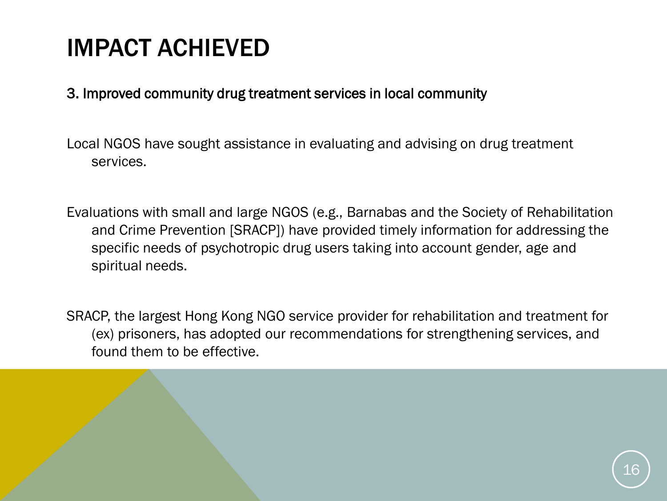#### 3. Improved community drug treatment services in local community

Local NGOS have sought assistance in evaluating and advising on drug treatment services.

Evaluations with small and large NGOS (e.g., Barnabas and the Society of Rehabilitation and Crime Prevention [SRACP]) have provided timely information for addressing the specific needs of psychotropic drug users taking into account gender, age and spiritual needs.

SRACP, the largest Hong Kong NGO service provider for rehabilitation and treatment for (ex) prisoners, has adopted our recommendations for strengthening services, and found them to be effective.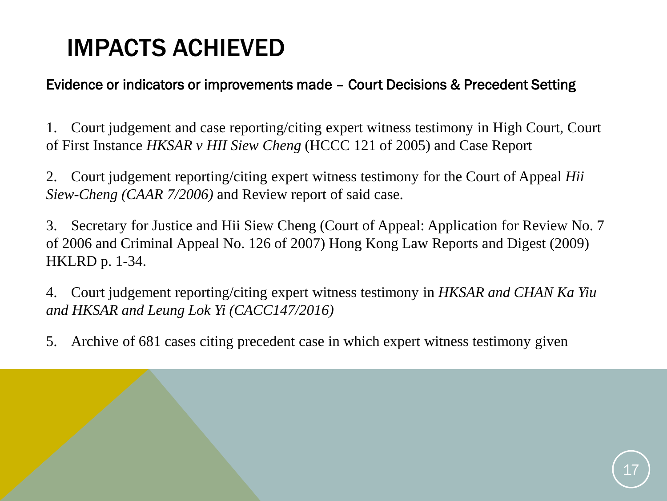#### Evidence or indicators or improvements made – Court Decisions & Precedent Setting

1. Court judgement and case reporting/citing expert witness testimony in High Court, Court of First Instance *HKSAR v HII Siew Cheng* (HCCC 121 of 2005) and Case Report

2. Court judgement reporting/citing expert witness testimony for the Court of Appeal *Hii Siew-Cheng (CAAR 7/2006)* and Review report of said case.

3. Secretary for Justice and Hii Siew Cheng (Court of Appeal: Application for Review No. 7 of 2006 and Criminal Appeal No. 126 of 2007) Hong Kong Law Reports and Digest (2009) HKLRD p. 1-34.

4. Court judgement reporting/citing expert witness testimony in *HKSAR and CHAN Ka Yiu and HKSAR and Leung Lok Yi (CACC147/2016)*

5. Archive of 681 cases citing precedent case in which expert witness testimony given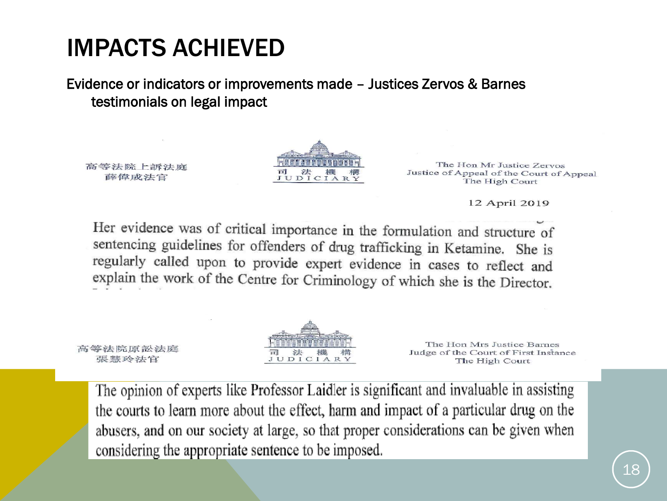Evidence or indicators or improvements made – Justices Zervos & Barnes testimonials on legal impact

高等法院上訴法庭 薛偉成法官

高等法院原訟法庭

張慧玲法官



The Hon Mr Justice Zervos Justice of Appeal of the Court of Appeal The High Court

12 April 2019

Her evidence was of critical importance in the formulation and structure of sentencing guidelines for offenders of drug trafficking in Ketamine. She is regularly called upon to provide expert evidence in cases to reflect and explain the work of the Centre for Criminology of which she is the Director.



The Hon Mrs Justice Barnes Judge of the Court of First Instance The High Court

The opinion of experts like Professor Laidler is significant and invaluable in assisting the courts to learn more about the effect, harm and impact of a particular drug on the abusers, and on our society at large, so that proper considerations can be given when considering the appropriate sentence to be imposed.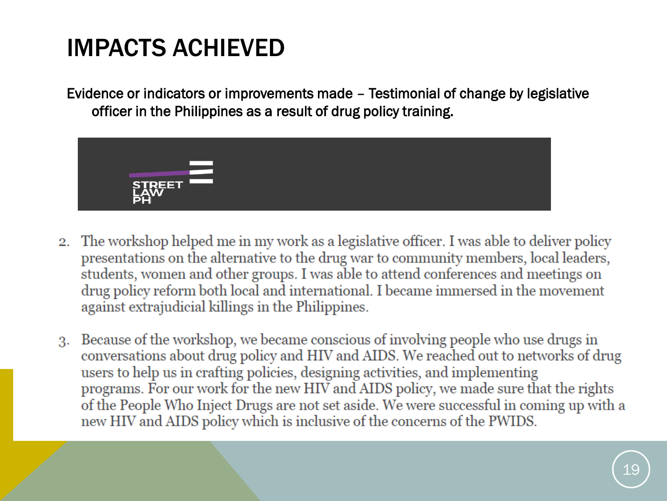Evidence or indicators or improvements made – Testimonial of change by legislative officer in the Philippines as a result of drug policy training.



- 2. The workshop helped me in my work as a legislative officer. I was able to deliver policy presentations on the alternative to the drug war to community members, local leaders, students, women and other groups. I was able to attend conferences and meetings on drug policy reform both local and international. I became immersed in the movement against extrajudicial killings in the Philippines.
- 3. Because of the workshop, we became conscious of involving people who use drugs in conversations about drug policy and HIV and AIDS. We reached out to networks of drug users to help us in crafting policies, designing activities, and implementing programs. For our work for the new HIV and AIDS policy, we made sure that the rights of the People Who Inject Drugs are not set aside. We were successful in coming up with a new HIV and AIDS policy which is inclusive of the concerns of the PWIDS.